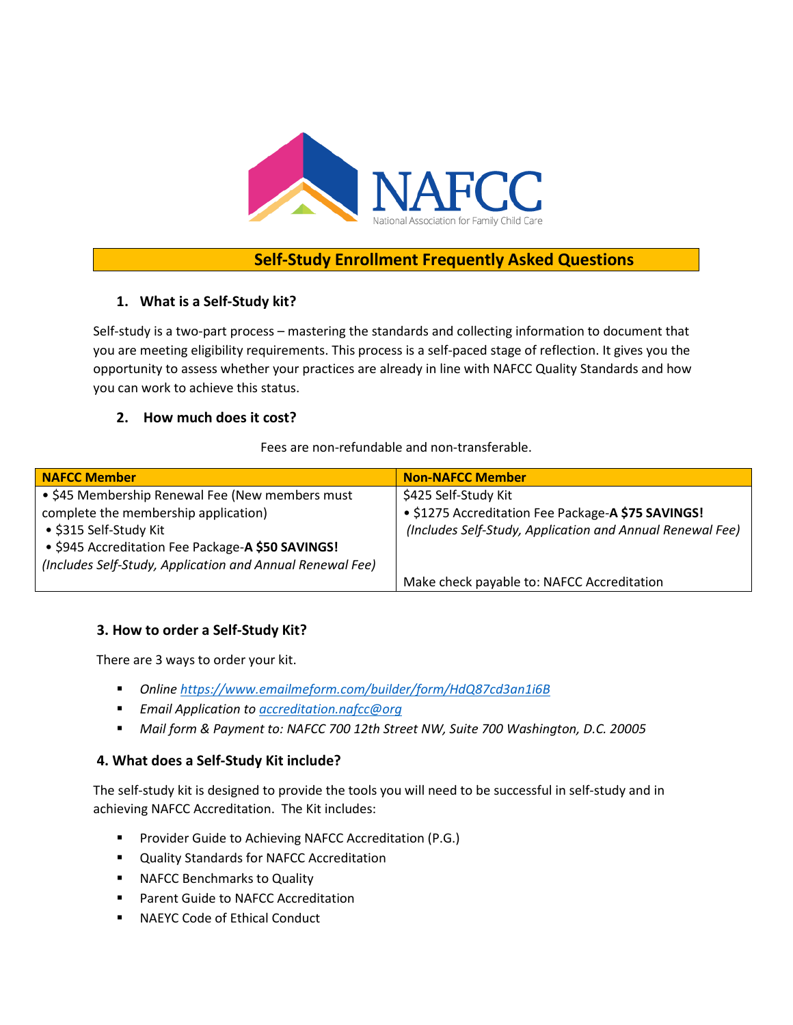

# **Self-Study Enrollment Frequently Asked Questions**

## **1. What is a Self-Study kit?**

Self-study is a two-part process – mastering the standards and collecting information to document that you are meeting eligibility requirements. This process is a self-paced stage of reflection. It gives you the opportunity to assess whether your practices are already in line with NAFCC Quality Standards and how you can work to achieve this status.

### **2. How much does it cost?**

#### Fees are non-refundable and non-transferable.

| NAFCC Member                                              | <b>Non-NAFCC Member</b>                                   |
|-----------------------------------------------------------|-----------------------------------------------------------|
| • \$45 Membership Renewal Fee (New members must           | \$425 Self-Study Kit                                      |
| complete the membership application)                      | • \$1275 Accreditation Fee Package-A \$75 SAVINGS!        |
| • \$315 Self-Study Kit                                    | (Includes Self-Study, Application and Annual Renewal Fee) |
| • \$945 Accreditation Fee Package-A \$50 SAVINGS!         |                                                           |
| (Includes Self-Study, Application and Annual Renewal Fee) |                                                           |
|                                                           | Make check payable to: NAFCC Accreditation                |

### **3. How to order a Self-Study Kit?**

There are 3 ways to order your kit.

- *Online<https://www.emailmeform.com/builder/form/HdQ87cd3an1i6B>*
- *Email Application to [accreditation.nafcc@org](mailto:accreditation.nafcc@org)*
- *Mail form & Payment to: NAFCC 700 12th Street NW, Suite 700 Washington, D.C. 20005*

### **4. What does a Self-Study Kit include?**

The self-study kit is designed to provide the tools you will need to be successful in self-study and in achieving NAFCC Accreditation. The Kit includes:

- **Provider Guide to Achieving NAFCC Accreditation (P.G.)**
- **Quality Standards for NAFCC Accreditation**
- **NAFCC Benchmarks to Quality**
- **Parent Guide to NAFCC Accreditation**
- **NAEYC Code of Ethical Conduct**